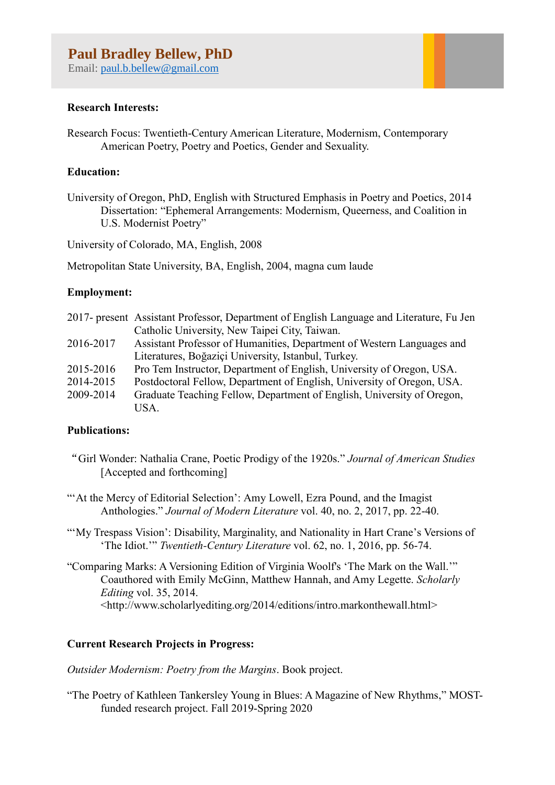Email: [paul.b.bellew@gmail.com](mailto:paul.b.bellew@gmail.com)

# **Research Interests:**

Research Focus: Twentieth-Century American Literature, Modernism, Contemporary American Poetry, Poetry and Poetics, Gender and Sexuality.

# **Education:**

University of Oregon, PhD, English with Structured Emphasis in Poetry and Poetics, 2014 Dissertation: "Ephemeral Arrangements: Modernism, Queerness, and Coalition in U.S. Modernist Poetry"

University of Colorado, MA, English, 2008

Metropolitan State University, BA, English, 2004, magna cum laude

## **Employment:**

|           | 2017- present Assistant Professor, Department of English Language and Literature, Fu Jen |
|-----------|------------------------------------------------------------------------------------------|
|           | Catholic University, New Taipei City, Taiwan.                                            |
| 2016-2017 | Assistant Professor of Humanities, Department of Western Languages and                   |
|           | Literatures, Boğaziçi University, Istanbul, Turkey.                                      |
| 2015-2016 | Pro Tem Instructor, Department of English, University of Oregon, USA.                    |
| 2014-2015 | Postdoctoral Fellow, Department of English, University of Oregon, USA.                   |
| 2009-2014 | Graduate Teaching Fellow, Department of English, University of Oregon,                   |
|           | USA.                                                                                     |

## **Publications:**

"Girl Wonder: Nathalia Crane, Poetic Prodigy of the 1920s." *Journal of American Studies*  [Accepted and forthcoming]

""At the Mercy of Editorial Selection': Amy Lowell, Ezra Pound, and the Imagist Anthologies." *Journal of Modern Literature* vol. 40, no. 2, 2017, pp. 22-40.

"'My Trespass Vision': Disability, Marginality, and Nationality in Hart Crane's Versions of 'The Idiot.'" *Twentieth-Century Literature* vol. 62, no. 1, 2016, pp. 56-74.

"Comparing Marks: A Versioning Edition of Virginia Woolf's 'The Mark on the Wall.'" Coauthored with Emily McGinn, Matthew Hannah, and Amy Legette. *Scholarly Editing* vol. 35, 2014. [<http://www.scholarlyediting.org/2014/editions/intro.markonthewall.html>](http://www.scholarlyediting.org/2014/editions/intro.markonthewall.html)

## **Current Research Projects in Progress:**

*Outsider Modernism: Poetry from the Margins*. Book project.

"The Poetry of Kathleen Tankersley Young in Blues: A Magazine of New Rhythms," MOSTfunded research project. Fall 2019-Spring 2020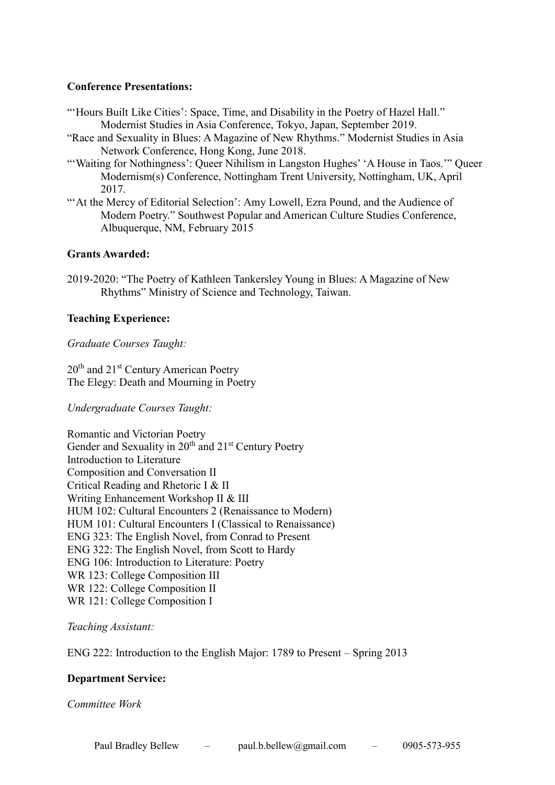## **Conference Presentations:**

- "'Hours Built Like Cities': Space, Time, and Disability in the Poetry of Hazel Hall." Modernist Studies in Asia Conference, Tokyo, Japan, September 2019.
- "Race and Sexuality in Blues: A Magazine of New Rhythms." Modernist Studies in Asia Network Conference, Hong Kong, June 2018.
- "'Waiting for Nothingness': Queer Nihilism in Langston Hughes' 'A House in Taos."' Queer Modernism(s) Conference, Nottingham Trent University, Nottingham, UK, April 2017.
- ""At the Mercy of Editorial Selection': Amy Lowell, Ezra Pound, and the Audience of Modern Poetry." Southwest Popular and American Culture Studies Conference, Albuquerque, NM, February 2015

### **Grants Awarded:**

2019-2020: "The Poetry of Kathleen Tankersley Young in Blues: A Magazine of New Rhythms" Ministry of Science and Technology, Taiwan.

### **Teaching Experience:**

*Graduate Courses Taught:*

20<sup>th</sup> and 21<sup>st</sup> Century American Poetry The Elegy: Death and Mourning in Poetry

*Undergraduate Courses Taught:* 

Romantic and Victorian Poetry Gender and Sexuality in 20<sup>th</sup> and 21<sup>st</sup> Century Poetry Introduction to Literature Composition and Conversation II Critical Reading and Rhetoric I & II Writing Enhancement Workshop II & III HUM 102: Cultural Encounters 2 (Renaissance to Modern) HUM 101: Cultural Encounters I (Classical to Renaissance) ENG 323: The English Novel, from Conrad to Present ENG 322: The English Novel, from Scott to Hardy ENG 106: Introduction to Literature: Poetry WR 123: College Composition III WR 122: College Composition II WR 121: College Composition I

*Teaching Assistant:*

ENG 222: Introduction to the English Major: 1789 to Present – Spring 2013

#### **Department Service:**

*Committee Work*